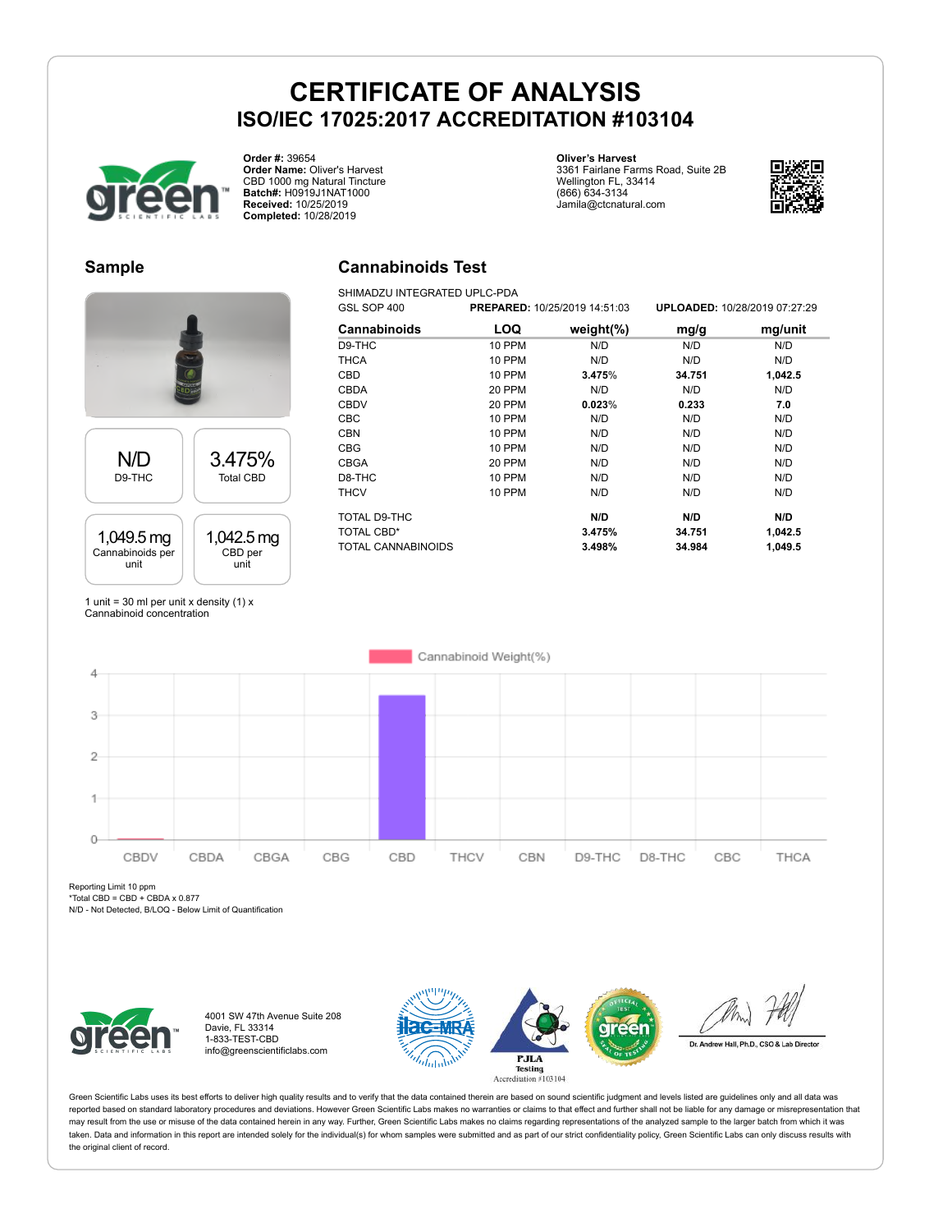# **CERTIFICATE OF ANALYSIS ISO/IEC 17025:2017 ACCREDITATION #103104**

**Cannabinoids Test** SHIMADZU INTEGRATED UPLC-PDA



**Order #:** 39654 **Order Name:** Oliver's Harvest CBD 1000 mg Natural Tincture **Batch#:** H0919J1NAT1000 **Received:** 10/25/2019 **Completed:** 10/28/2019

#### **Oliver's Harvest**

3361 Fairlane Farms Road, Suite 2B Wellington FL, 33414 (866) 634-3134 Jamila@ctcnatural.com



### **Sample**

# N/D D9-THC 3.475% Total CBD



1 unit = 30 ml per unit x density  $(1)$  x Cannabinoid concentration

### GSL SOP 400 **PREPARED:** 10/25/2019 14:51:03 **UPLOADED:** 10/28/2019 07:27:29 **Cannabinoids LOQ weight(%) mg/g mg/unit** D9-THC 10 PPM N/D N/D N/D THCA 10 PPM N/D N/D N/D CBD 10 PPM **3.475**% **34.751 1,042.5** CBDA 20 PPM N/D N/D N/D CBDV 20 PPM **0.023**% **0.233 7.0** CBC 10 PPM N/D N/D N/D CBN 10 PPM N/D N/D N/D CBG 10 PPM N/D N/D N/D CBGA 20 PPM N/D N/D N/D D8-THC 10 PPM N/D N/D N/D THCV 10 PPM N/D N/D N/D TOTAL D9-THC **N/D N/D N/D** TOTAL CBD\* **3.475% 34.751 1,042.5** TOTAL CANNABINOIDS **3.498% 34.984 1,049.5**

Cannabinoid Weight(%)  $\overline{4}$ 3  $\overline{2}$  $\ddot{\phantom{1}}$  $\Omega$ CBDV CBDA CBGA CBG CBD THCV CBN D9-THC D8-THC  $CBC$ THCA

Reporting Limit 10 ppm

\*Total CBD = CBD + CBDA x 0.877 N/D - Not Detected, B/LOQ - Below Limit of Quantification



4001 SW 47th Avenue Suite 208 Davie, FL 33314 1-833-TEST-CBD info@greenscientificlabs.com





Dr. Andrew Hall, Ph.D., CSO & Lab Director

Green Scientific Labs uses its best efforts to deliver high quality results and to verify that the data contained therein are based on sound scientific judgment and levels listed are guidelines only and all data was reported based on standard laboratory procedures and deviations. However Green Scientific Labs makes no warranties or claims to that effect and further shall not be liable for any damage or misrepresentation that may result from the use or misuse of the data contained herein in any way. Further, Green Scientific Labs makes no claims regarding representations of the analyzed sample to the larger batch from which it was taken. Data and information in this report are intended solely for the individual(s) for whom samples were submitted and as part of our strict confidentiality policy, Green Scientific Labs can only discuss results with the original client of record.